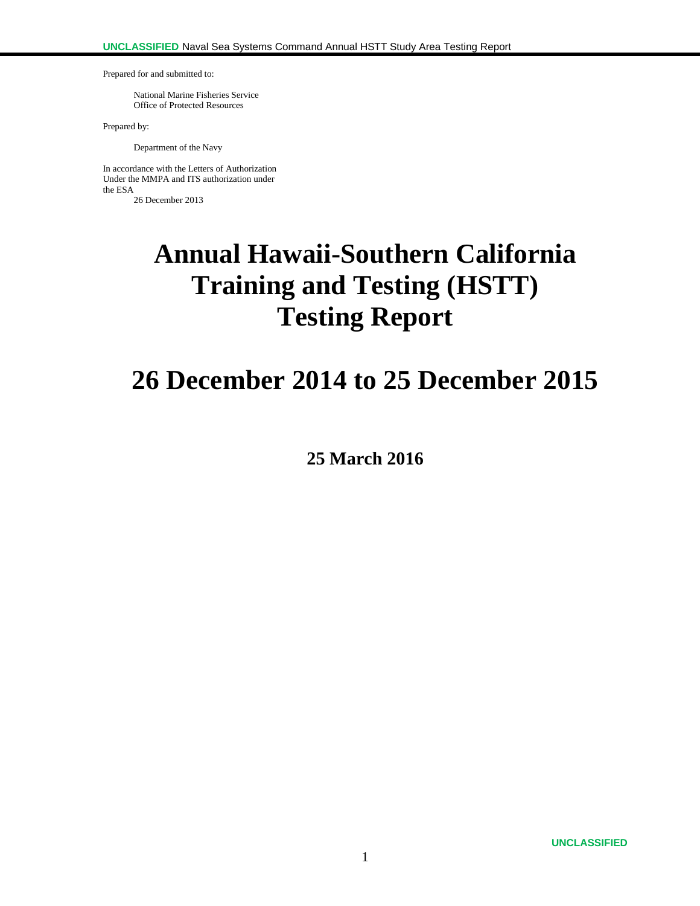Prepared for and submitted to:

National Marine Fisheries Service Office of Protected Resources

Prepared by:

Department of the Navy

In accordance with the Letters of Authorization Under the MMPA and ITS authorization under the ESA 26 December 2013

# **Annual Hawaii-Southern California Training and Testing (HSTT) Testing Report**

# **26 December 2014 to 25 December 2015**

**25 March 2016**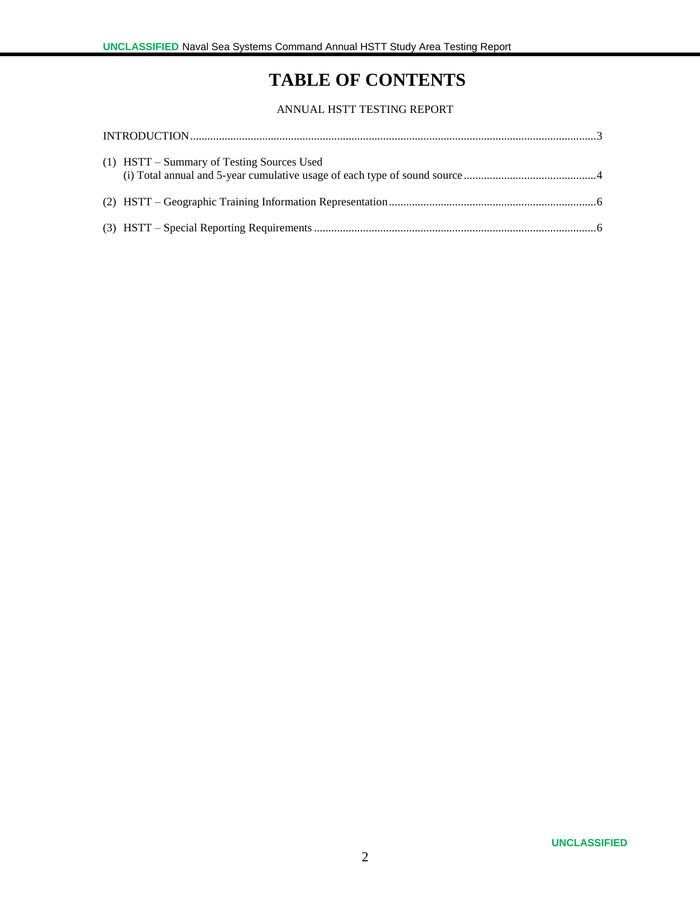## **TABLE OF CONTENTS**

#### ANNUAL HSTT TESTING REPORT

| (1) HSTT – Summary of Testing Sources Used |  |
|--------------------------------------------|--|
|                                            |  |
|                                            |  |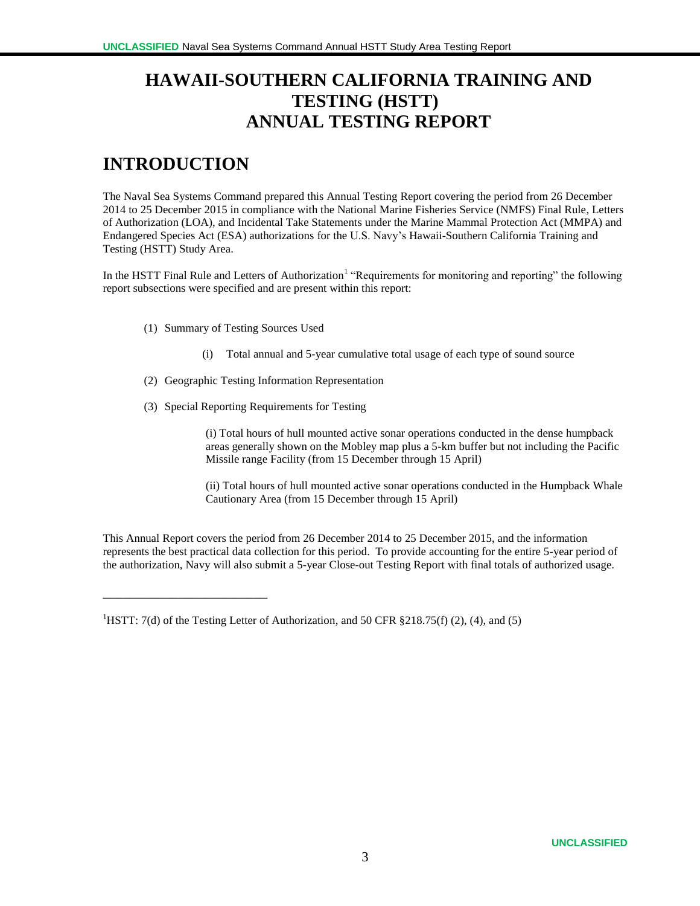## **HAWAII-SOUTHERN CALIFORNIA TRAINING AND TESTING (HSTT) ANNUAL TESTING REPORT**

## **INTRODUCTION**

\_\_\_\_\_\_\_\_\_\_\_\_\_\_\_\_\_\_\_\_\_\_\_\_

The Naval Sea Systems Command prepared this Annual Testing Report covering the period from 26 December 2014 to 25 December 2015 in compliance with the National Marine Fisheries Service (NMFS) Final Rule, Letters of Authorization (LOA), and Incidental Take Statements under the Marine Mammal Protection Act (MMPA) and Endangered Species Act (ESA) authorizations for the U.S. Navy's Hawaii-Southern California Training and Testing (HSTT) Study Area.

In the HSTT Final Rule and Letters of Authorization<sup>1</sup> "Requirements for monitoring and reporting" the following report subsections were specified and are present within this report:

- (1) Summary of Testing Sources Used
	- (i) Total annual and 5-year cumulative total usage of each type of sound source
- (2) Geographic Testing Information Representation
- (3) Special Reporting Requirements for Testing

(i) Total hours of hull mounted active sonar operations conducted in the dense humpback areas generally shown on the Mobley map plus a 5-km buffer but not including the Pacific Missile range Facility (from 15 December through 15 April)

(ii) Total hours of hull mounted active sonar operations conducted in the Humpback Whale Cautionary Area (from 15 December through 15 April)

This Annual Report covers the period from 26 December 2014 to 25 December 2015, and the information represents the best practical data collection for this period. To provide accounting for the entire 5-year period of the authorization, Navy will also submit a 5-year Close-out Testing Report with final totals of authorized usage.

<sup>&</sup>lt;sup>1</sup>HSTT: 7(d) of the Testing Letter of Authorization, and 50 CFR §218.75(f) (2), (4), and (5)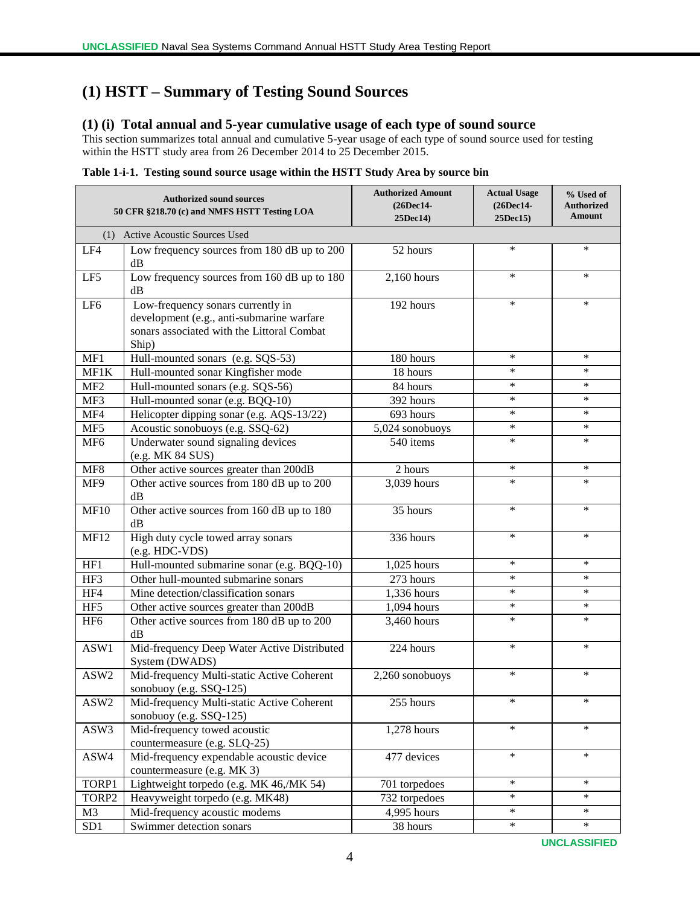### **(1) HSTT – Summary of Testing Sound Sources**

#### **(1) (i) Total annual and 5-year cumulative usage of each type of sound source**

This section summarizes total annual and cumulative 5-year usage of each type of sound source used for testing within the HSTT study area from 26 December 2014 to 25 December 2015.

| Table 1-i-1. Testing sound source usage within the HSTT Study Area by source bin |  |
|----------------------------------------------------------------------------------|--|
|                                                                                  |  |
|                                                                                  |  |
|                                                                                  |  |

|                 | <b>Authorized sound sources</b><br>50 CFR §218.70 (c) and NMFS HSTT Testing LOA                                                       | <b>Authorized Amount</b><br>(26Dec14-<br>25Dec14) | <b>Actual Usage</b><br>(26Dec14-<br>25Dec15) | % Used of<br><b>Authorized</b><br>Amount |  |  |  |  |
|-----------------|---------------------------------------------------------------------------------------------------------------------------------------|---------------------------------------------------|----------------------------------------------|------------------------------------------|--|--|--|--|
|                 | (1) Active Acoustic Sources Used                                                                                                      |                                                   |                                              |                                          |  |  |  |  |
| LF4             | Low frequency sources from 180 dB up to 200<br>dB                                                                                     | 52 hours                                          | $\ast$                                       | $\ast$                                   |  |  |  |  |
| LF5             | Low frequency sources from 160 dB up to 180<br>dB                                                                                     | 2,160 hours                                       | $\ast$                                       | $\ast$                                   |  |  |  |  |
| LF <sub>6</sub> | Low-frequency sonars currently in<br>development (e.g., anti-submarine warfare<br>sonars associated with the Littoral Combat<br>Ship) | 192 hours                                         | $\ast$                                       | $\ast$                                   |  |  |  |  |
| MF1             | Hull-mounted sonars (e.g. SQS-53)                                                                                                     | 180 hours                                         | $\ast$                                       | ∗                                        |  |  |  |  |
| MF1K            | Hull-mounted sonar Kingfisher mode                                                                                                    | 18 hours                                          | $\ast$                                       | $\ast$                                   |  |  |  |  |
| MF <sub>2</sub> | Hull-mounted sonars (e.g. SQS-56)                                                                                                     | 84 hours                                          | $\ast$                                       | $\ast$                                   |  |  |  |  |
| MF3             | Hull-mounted sonar (e.g. BQQ-10)                                                                                                      | 392 hours                                         | $\ast$                                       | $\ast$                                   |  |  |  |  |
| MF4             | Helicopter dipping sonar (e.g. AQS-13/22)                                                                                             | 693 hours                                         | $\ast$                                       | $\ast$                                   |  |  |  |  |
| MF5             | Acoustic sonobuoys (e.g. SSQ-62)                                                                                                      | 5,024 sonobuoys                                   | $\ast$                                       | $\ast$                                   |  |  |  |  |
| MF <sub>6</sub> | Underwater sound signaling devices<br>(e.g. MK 84 SUS)                                                                                | 540 items                                         | $\ast$                                       | $\ast$                                   |  |  |  |  |
| MF <sub>8</sub> | Other active sources greater than 200dB                                                                                               | 2 hours                                           | $\ast$                                       | $\ast$                                   |  |  |  |  |
| MF9             | Other active sources from 180 dB up to 200<br>dB                                                                                      | 3,039 hours                                       | $\ast$                                       | *                                        |  |  |  |  |
| MF10            | Other active sources from 160 dB up to 180<br>dB                                                                                      | 35 hours                                          | $\ast$                                       | $\ast$                                   |  |  |  |  |
| MF12            | High duty cycle towed array sonars<br>(e.g. HDC-VDS)                                                                                  | 336 hours                                         | $\ast$                                       | $\ast$                                   |  |  |  |  |
| HF1             | Hull-mounted submarine sonar (e.g. BQQ-10)                                                                                            | 1,025 hours                                       | $\ast$                                       | $\ast$                                   |  |  |  |  |
| HF3             | Other hull-mounted submarine sonars                                                                                                   | 273 hours                                         | $\ast$                                       | $\ast$                                   |  |  |  |  |
| HF4             | Mine detection/classification sonars                                                                                                  | 1,336 hours                                       | *                                            | ∗                                        |  |  |  |  |
| HF5             | Other active sources greater than 200dB                                                                                               | 1,094 hours                                       | ∗                                            | ∗                                        |  |  |  |  |
| HF <sub>6</sub> | Other active sources from 180 dB up to 200<br>dB                                                                                      | 3,460 hours                                       | $\ast$                                       | $\ast$                                   |  |  |  |  |
| ASW1            | Mid-frequency Deep Water Active Distributed<br>System (DWADS)                                                                         | 224 hours                                         | $\ast$                                       | $\ast$                                   |  |  |  |  |
| ASW2            | Mid-frequency Multi-static Active Coherent<br>sonobuoy (e.g. SSQ-125)                                                                 | 2,260 sonobuoys                                   | $\ast$                                       | $\ast$                                   |  |  |  |  |
| ASW2            | Mid-frequency Multi-static Active Coherent<br>sonobuoy (e.g. SSQ-125)                                                                 | 255 hours                                         | $\ast$                                       | $\ast$                                   |  |  |  |  |
| ASW3            | Mid-frequency towed acoustic<br>countermeasure (e.g. SLQ-25)                                                                          | 1,278 hours                                       | $\ast$                                       | $\ast$                                   |  |  |  |  |
| ASW4            | Mid-frequency expendable acoustic device<br>countermeasure (e.g. MK 3)                                                                | 477 devices                                       | $\ast$                                       | $\ast$                                   |  |  |  |  |
| TORP1           | Lightweight torpedo (e.g. MK 46,/MK 54)                                                                                               | 701 torpedoes                                     | $\ast$                                       | $\ast$                                   |  |  |  |  |
| TORP2           | Heavyweight torpedo (e.g. MK48)                                                                                                       | 732 torpedoes                                     | $\ast$                                       | $\ast$                                   |  |  |  |  |
| M <sub>3</sub>  | Mid-frequency acoustic modems                                                                                                         | 4,995 hours                                       | $\ast$                                       | $\ast$                                   |  |  |  |  |
| SD1             | Swimmer detection sonars                                                                                                              | 38 hours                                          | $\ast$                                       | $\ast$                                   |  |  |  |  |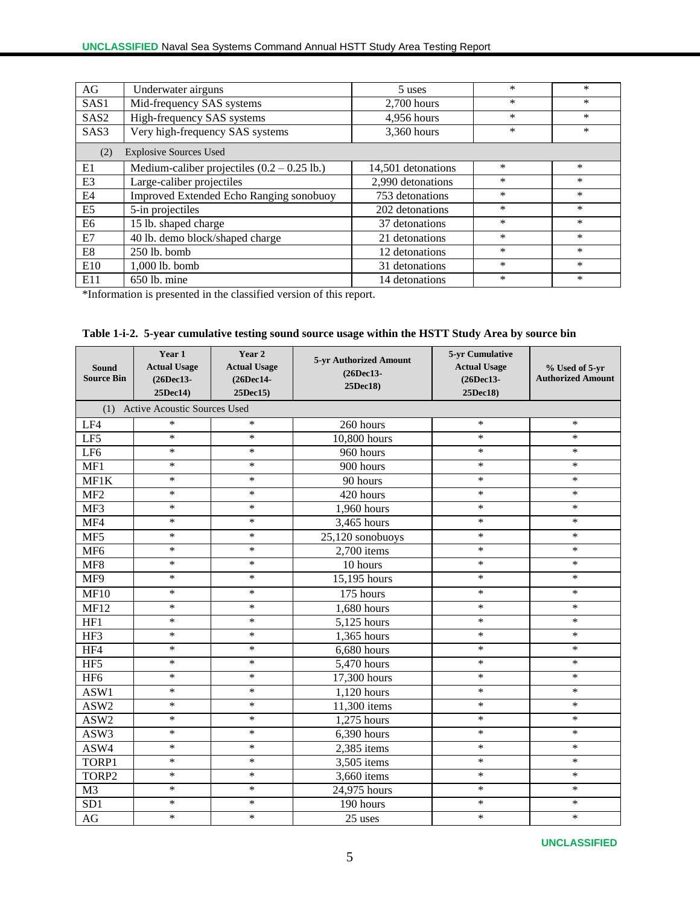| AG                                   | Underwater airguns                                    | 5 uses             | $\ast$ | *      |  |  |  |  |
|--------------------------------------|-------------------------------------------------------|--------------------|--------|--------|--|--|--|--|
| SAS1                                 | Mid-frequency SAS systems                             | 2,700 hours        | $\ast$ | $\ast$ |  |  |  |  |
| SAS <sub>2</sub>                     | High-frequency SAS systems                            | 4,956 hours        | $\ast$ | $\ast$ |  |  |  |  |
| SAS3                                 | Very high-frequency SAS systems                       | 3,360 hours        | $\ast$ | $\ast$ |  |  |  |  |
| <b>Explosive Sources Used</b><br>(2) |                                                       |                    |        |        |  |  |  |  |
| E1                                   | Medium-caliber projectiles $(0.2 - 0.25 \text{ lb.})$ | 14,501 detonations | $\ast$ | *      |  |  |  |  |
| E <sub>3</sub>                       | Large-caliber projectiles                             | 2,990 detonations  | $\ast$ | $\ast$ |  |  |  |  |
| E4                                   | Improved Extended Echo Ranging sonobuoy               | 753 detonations    | $\ast$ | *      |  |  |  |  |
| E <sub>5</sub>                       | 5-in projectiles                                      | 202 detonations    | $\ast$ | $\ast$ |  |  |  |  |
| E <sub>6</sub>                       | 15 lb. shaped charge                                  | 37 detonations     | $\ast$ | *      |  |  |  |  |
| E7                                   | 40 lb. demo block/shaped charge                       | 21 detonations     | $\ast$ | $\ast$ |  |  |  |  |
| E8                                   | 250 lb. bomb                                          | 12 detonations     | $\ast$ | *      |  |  |  |  |
| E10                                  | 1,000 lb. bomb                                        | 31 detonations     | $\ast$ | $\ast$ |  |  |  |  |
| E11                                  | $650$ lb. mine                                        | 14 detonations     | $\ast$ | *      |  |  |  |  |

\*Information is presented in the classified version of this report.

|  |  |  |  | Table 1-i-2. 5-year cumulative testing sound source usage within the HSTT Study Area by source bin |  |  |  |  |
|--|--|--|--|----------------------------------------------------------------------------------------------------|--|--|--|--|
|--|--|--|--|----------------------------------------------------------------------------------------------------|--|--|--|--|

| Sound<br><b>Source Bin</b> | Year 1<br><b>Actual Usage</b><br>(26Dec13-<br>25Dec14) | Year 2<br><b>Actual Usage</b><br>(26Dec14-<br>25Dec15) | 5-yr Authorized Amount<br>(26Dec13-<br>25Dec18) | 5-yr Cumulative<br><b>Actual Usage</b><br>(26Dec13-<br>25Dec18) | % Used of 5-yr<br><b>Authorized Amount</b> |
|----------------------------|--------------------------------------------------------|--------------------------------------------------------|-------------------------------------------------|-----------------------------------------------------------------|--------------------------------------------|
| (1)                        | <b>Active Acoustic Sources Used</b>                    |                                                        |                                                 |                                                                 |                                            |
| LF4                        | $\ast$                                                 | $\ast$                                                 | 260 hours                                       | $\ast$                                                          | $\ast$                                     |
| LF5                        | $\ast$                                                 | $\ast$                                                 | 10,800 hours                                    | $\ast$                                                          | $\ast$                                     |
| LF <sub>6</sub>            | $\ast$                                                 | $\ast$                                                 | 960 hours                                       | $\ast$                                                          | $\ast$                                     |
| MF1                        | $\ast$                                                 | $\ast$                                                 | 900 hours                                       | $\ast$                                                          | $\ast$                                     |
| MF1K                       | $\ast$                                                 | $\ast$                                                 | 90 hours                                        | $\ast$                                                          | $\ast$                                     |
| MF <sub>2</sub>            | $\ast$                                                 | $\ast$                                                 | 420 hours                                       | $\ast$                                                          | $\ast$                                     |
| MF3                        | $\ast$                                                 | $\ast$                                                 | 1,960 hours                                     | $\ast$                                                          | $\ast$                                     |
| MF4                        | $\ast$                                                 | $\ast$                                                 | 3,465 hours                                     | $\ast$                                                          | $\ast$                                     |
| MF5                        | $\ast$                                                 | $\ast$                                                 | 25,120 sonobuoys                                | $\ast$                                                          | $\ast$                                     |
| MF <sub>6</sub>            | $\ast$                                                 | $\ast$                                                 | 2,700 items                                     | $\ast$                                                          | $\ast$                                     |
| MF8                        | $\ast$                                                 | $\ast$                                                 | 10 hours                                        | $\ast$                                                          | $\ast$                                     |
| MF9                        | $\ast$                                                 | $\ast$                                                 | 15,195 hours                                    | $\ast$                                                          | $\ast$                                     |
| <b>MF10</b>                | $\ast$                                                 | $\ast$                                                 | 175 hours                                       | $\ast$                                                          | $\ast$                                     |
| <b>MF12</b>                | $\ast$                                                 | $\ast$                                                 | 1,680 hours                                     | $\ast$                                                          | *                                          |
| HF1                        | $\ast$                                                 | $\ast$                                                 | 5,125 hours                                     | $\ast$                                                          | $\ast$                                     |
| HF3                        | $\ast$                                                 | $\ast$                                                 | 1,365 hours                                     | $\ast$                                                          | $\ast$                                     |
| HF4                        | $\ast$                                                 | $\ast$                                                 | $6,680$ hours                                   | $\ast$                                                          | $\ast$                                     |
| HF5                        | $\ast$                                                 | $\ast$                                                 | 5,470 hours                                     | $\ast$                                                          | $\ast$                                     |
| HF <sub>6</sub>            | $\ast$                                                 | $\ast$                                                 | 17,300 hours                                    | $\ast$                                                          | $\ast$                                     |
| ASW1                       | $\ast$                                                 | $\ast$                                                 | 1,120 hours                                     | $\ast$                                                          | $\ast$                                     |
| ASW2                       | $\ast$                                                 | $\ast$                                                 | 11,300 items                                    | $\ast$                                                          | $\ast$                                     |
| ASW2                       | $\ast$                                                 | $\ast$                                                 | 1,275 hours                                     | $\ast$                                                          | $\ast$                                     |
| ASW3                       | $\ast$                                                 | $\ast$                                                 | 6,390 hours                                     | $\ast$                                                          | $\ast$                                     |
| ASW4                       | $\ast$                                                 | $\ast$                                                 | 2,385 items                                     | $\ast$                                                          | $\ast$                                     |
| TORP1                      | $\ast$                                                 | $\ast$                                                 | 3,505 items                                     | $\ast$                                                          | $\ast$                                     |
| TORP2                      | $\ast$                                                 | $\ast$                                                 | 3,660 items                                     | $\ast$                                                          | $\ast$                                     |
| M <sub>3</sub>             | $\ast$                                                 | $\ast$                                                 | 24,975 hours                                    | $\ast$                                                          | $\ast$                                     |
| SD <sub>1</sub>            | $\ast$                                                 | $\ast$                                                 | 190 hours                                       | $\ast$                                                          | $\ast$                                     |
| AG                         | $\ast$                                                 | $\ast$                                                 | 25 uses                                         | $\ast$                                                          | $\ast$                                     |

**UNCLASSIFIED**